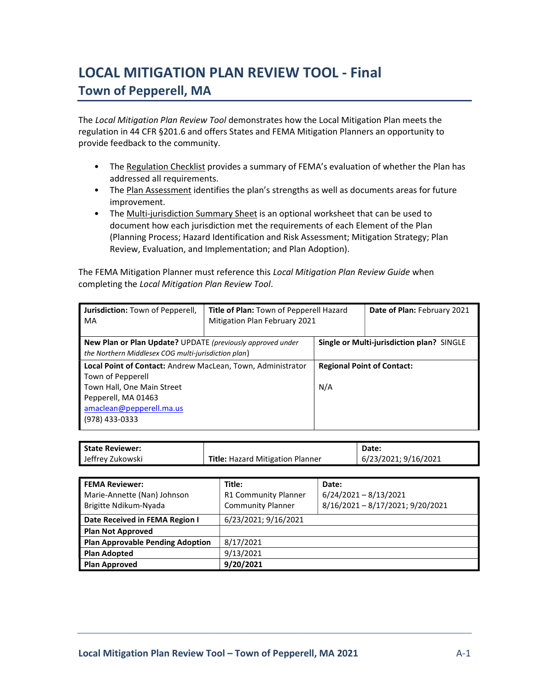# LOCAL MITIGATION PLAN REVIEW TOOL - Final Town of Pepperell, MA

The Local Mitigation Plan Review Tool demonstrates how the Local Mitigation Plan meets the regulation in 44 CFR §201.6 and offers States and FEMA Mitigation Planners an opportunity to provide feedback to the community.

- The Regulation Checklist provides a summary of FEMA's evaluation of whether the Plan has addressed all requirements.
- The Plan Assessment identifies the plan's strengths as well as documents areas for future improvement.
- The Multi-jurisdiction Summary Sheet is an optional worksheet that can be used to document how each jurisdiction met the requirements of each Element of the Plan (Planning Process; Hazard Identification and Risk Assessment; Mitigation Strategy; Plan Review, Evaluation, and Implementation; and Plan Adoption).

The FEMA Mitigation Planner must reference this Local Mitigation Plan Review Guide when completing the Local Mitigation Plan Review Tool.

| Jurisdiction: Town of Pepperell,<br>MA                                                                                   | Title of Plan: Town of Pepperell Hazard<br>Mitigation Plan February 2021 |                                           | Date of Plan: February 2021 |  |
|--------------------------------------------------------------------------------------------------------------------------|--------------------------------------------------------------------------|-------------------------------------------|-----------------------------|--|
| <b>New Plan or Plan Update?</b> UPDATE (previously approved under<br>the Northern Middlesex COG multi-jurisdiction plan) |                                                                          | Single or Multi-jurisdiction plan? SINGLE |                             |  |
| Local Point of Contact: Andrew MacLean, Town, Administrator                                                              |                                                                          | <b>Regional Point of Contact:</b>         |                             |  |
| Town of Pepperell<br>Town Hall, One Main Street                                                                          |                                                                          | N/A                                       |                             |  |
| Pepperell, MA 01463<br>amaclean@pepperell.ma.us<br>(978) 433-0333                                                        |                                                                          |                                           |                             |  |

| <b>State Reviewer:</b> |                                         | Date:                |
|------------------------|-----------------------------------------|----------------------|
| Jeffrey Zukowski       | <b>Title: Hazard Mitigation Planner</b> | 6/23/2021; 9/16/2021 |

| <b>FEMA Reviewer:</b>                   | Title:                      | Date:                          |
|-----------------------------------------|-----------------------------|--------------------------------|
| Marie-Annette (Nan) Johnson             | <b>R1 Community Planner</b> | $6/24/2021 - 8/13/2021$        |
| Brigitte Ndikum-Nyada                   | <b>Community Planner</b>    | 8/16/2021-8/17/2021; 9/20/2021 |
| Date Received in FEMA Region I          | 6/23/2021; 9/16/2021        |                                |
| <b>Plan Not Approved</b>                |                             |                                |
| <b>Plan Approvable Pending Adoption</b> | 8/17/2021                   |                                |
| <b>Plan Adopted</b>                     | 9/13/2021                   |                                |
| <b>Plan Approved</b>                    | 9/20/2021                   |                                |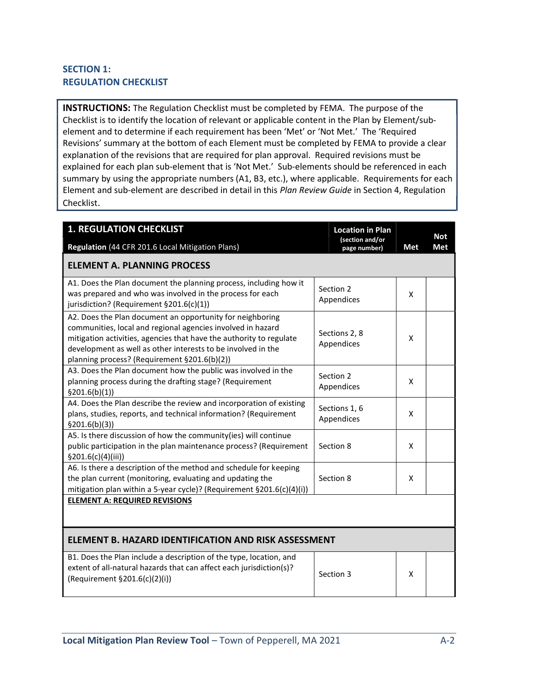## SECTION 1: REGULATION CHECKLIST

INSTRUCTIONS: The Regulation Checklist must be completed by FEMA. The purpose of the Checklist is to identify the location of relevant or applicable content in the Plan by Element/subelement and to determine if each requirement has been 'Met' or 'Not Met.' The 'Required Revisions' summary at the bottom of each Element must be completed by FEMA to provide a clear explanation of the revisions that are required for plan approval. Required revisions must be explained for each plan sub-element that is 'Not Met.' Sub-elements should be referenced in each summary by using the appropriate numbers (A1, B3, etc.), where applicable. Requirements for each Element and sub-element are described in detail in this Plan Review Guide in Section 4, Regulation Checklist.

| <b>1. REGULATION CHECKLIST</b>                                                                                                                                                                                                                                                                                  | <b>Location in Plan</b><br>(section and/or |     | <b>Not</b> |
|-----------------------------------------------------------------------------------------------------------------------------------------------------------------------------------------------------------------------------------------------------------------------------------------------------------------|--------------------------------------------|-----|------------|
| Regulation (44 CFR 201.6 Local Mitigation Plans)                                                                                                                                                                                                                                                                | page number)                               | Met | <b>Met</b> |
| <b>ELEMENT A. PLANNING PROCESS</b>                                                                                                                                                                                                                                                                              |                                            |     |            |
| A1. Does the Plan document the planning process, including how it<br>was prepared and who was involved in the process for each<br>jurisdiction? (Requirement §201.6(c)(1))                                                                                                                                      | Section 2<br>Appendices                    | X   |            |
| A2. Does the Plan document an opportunity for neighboring<br>communities, local and regional agencies involved in hazard<br>mitigation activities, agencies that have the authority to regulate<br>development as well as other interests to be involved in the<br>planning process? (Requirement §201.6(b)(2)) | Sections 2, 8<br>Appendices                | X   |            |
| A3. Does the Plan document how the public was involved in the<br>planning process during the drafting stage? (Requirement<br>\$201.6(b)(1)]                                                                                                                                                                     | Section 2<br>Appendices                    | X   |            |
| A4. Does the Plan describe the review and incorporation of existing<br>plans, studies, reports, and technical information? (Requirement<br>\$201.6(b)(3))                                                                                                                                                       | Sections 1, 6<br>Appendices                | X   |            |
| A5. Is there discussion of how the community(ies) will continue<br>public participation in the plan maintenance process? (Requirement<br>\$201.6(c)(4)(iii)                                                                                                                                                     | Section 8                                  | X   |            |
| A6. Is there a description of the method and schedule for keeping<br>the plan current (monitoring, evaluating and updating the<br>mitigation plan within a 5-year cycle)? (Requirement §201.6(c)(4)(i))                                                                                                         | Section 8                                  | X   |            |
| <b>ELEMENT A: REQUIRED REVISIONS</b>                                                                                                                                                                                                                                                                            |                                            |     |            |
| ELEMENT B. HAZARD IDENTIFICATION AND RISK ASSESSMENT                                                                                                                                                                                                                                                            |                                            |     |            |
| B1. Does the Plan include a description of the type, location, and<br>extent of all-natural hazards that can affect each jurisdiction(s)?<br>(Requirement §201.6(c)(2)(i))                                                                                                                                      | Section 3                                  | X   |            |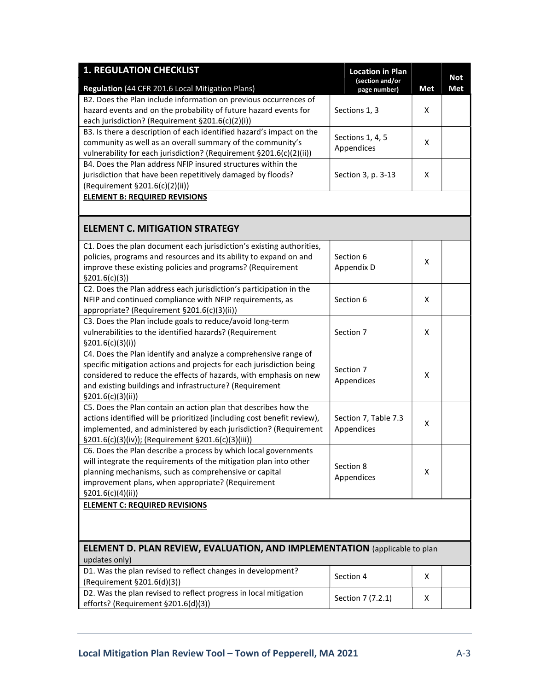| Met<br><b>Met</b><br>page number)<br>B2. Does the Plan include information on previous occurrences of<br>hazard events and on the probability of future hazard events for<br>Sections 1, 3<br>X<br>each jurisdiction? (Requirement §201.6(c)(2)(i))<br>B3. Is there a description of each identified hazard's impact on the<br>Sections 1, 4, 5<br>community as well as an overall summary of the community's<br>X<br>Appendices<br>vulnerability for each jurisdiction? (Requirement §201.6(c)(2)(ii))<br>B4. Does the Plan address NFIP insured structures within the<br>jurisdiction that have been repetitively damaged by floods?<br>Section 3, p. 3-13<br>X<br>(Requirement §201.6(c)(2)(ii))<br><b>ELEMENT B: REQUIRED REVISIONS</b><br><b>ELEMENT C. MITIGATION STRATEGY</b><br>C1. Does the plan document each jurisdiction's existing authorities,<br>policies, programs and resources and its ability to expand on and<br>Section 6<br>X<br>improve these existing policies and programs? (Requirement<br>Appendix D<br>\$201.6(c)(3)]<br>C2. Does the Plan address each jurisdiction's participation in the<br>NFIP and continued compliance with NFIP requirements, as<br>Section 6<br>Χ<br>appropriate? (Requirement §201.6(c)(3)(ii))<br>C3. Does the Plan include goals to reduce/avoid long-term<br>vulnerabilities to the identified hazards? (Requirement<br>Section 7<br>X<br>\$201.6(c)(3)(i))<br>C4. Does the Plan identify and analyze a comprehensive range of<br>specific mitigation actions and projects for each jurisdiction being<br>Section 7<br>considered to reduce the effects of hazards, with emphasis on new<br>X<br>Appendices<br>and existing buildings and infrastructure? (Requirement<br>\$201.6(c)(3)(ii))<br>C5. Does the Plan contain an action plan that describes how the<br>actions identified will be prioritized (including cost benefit review),<br>Section 7, Table 7.3<br>X<br>implemented, and administered by each jurisdiction? (Requirement<br>Appendices<br>§201.6(c)(3)(iv)); (Requirement §201.6(c)(3)(iii))<br>C6. Does the Plan describe a process by which local governments<br>will integrate the requirements of the mitigation plan into other<br>Section 8<br>planning mechanisms, such as comprehensive or capital<br>X<br>Appendices<br>improvement plans, when appropriate? (Requirement<br>\$201.6(c)(4)(ii))<br><b>ELEMENT C: REQUIRED REVISIONS</b><br>ELEMENT D. PLAN REVIEW, EVALUATION, AND IMPLEMENTATION (applicable to plan<br>updates only)<br>D1. Was the plan revised to reflect changes in development?<br>Section 4<br>X<br>(Requirement §201.6(d)(3))<br>D2. Was the plan revised to reflect progress in local mitigation<br>Section 7 (7.2.1)<br>Χ | <b>1. REGULATION CHECKLIST</b><br><b>Location in Plan</b><br>(section and/or |  |  | <b>Not</b> |  |
|-----------------------------------------------------------------------------------------------------------------------------------------------------------------------------------------------------------------------------------------------------------------------------------------------------------------------------------------------------------------------------------------------------------------------------------------------------------------------------------------------------------------------------------------------------------------------------------------------------------------------------------------------------------------------------------------------------------------------------------------------------------------------------------------------------------------------------------------------------------------------------------------------------------------------------------------------------------------------------------------------------------------------------------------------------------------------------------------------------------------------------------------------------------------------------------------------------------------------------------------------------------------------------------------------------------------------------------------------------------------------------------------------------------------------------------------------------------------------------------------------------------------------------------------------------------------------------------------------------------------------------------------------------------------------------------------------------------------------------------------------------------------------------------------------------------------------------------------------------------------------------------------------------------------------------------------------------------------------------------------------------------------------------------------------------------------------------------------------------------------------------------------------------------------------------------------------------------------------------------------------------------------------------------------------------------------------------------------------------------------------------------------------------------------------------------------------------------------------------------------------------------------------------------------------------------------------------------------------------------------------------------------------------------------------------------------------------------------------------------------|------------------------------------------------------------------------------|--|--|------------|--|
|                                                                                                                                                                                                                                                                                                                                                                                                                                                                                                                                                                                                                                                                                                                                                                                                                                                                                                                                                                                                                                                                                                                                                                                                                                                                                                                                                                                                                                                                                                                                                                                                                                                                                                                                                                                                                                                                                                                                                                                                                                                                                                                                                                                                                                                                                                                                                                                                                                                                                                                                                                                                                                                                                                                                         | Regulation (44 CFR 201.6 Local Mitigation Plans)                             |  |  |            |  |
|                                                                                                                                                                                                                                                                                                                                                                                                                                                                                                                                                                                                                                                                                                                                                                                                                                                                                                                                                                                                                                                                                                                                                                                                                                                                                                                                                                                                                                                                                                                                                                                                                                                                                                                                                                                                                                                                                                                                                                                                                                                                                                                                                                                                                                                                                                                                                                                                                                                                                                                                                                                                                                                                                                                                         |                                                                              |  |  |            |  |
|                                                                                                                                                                                                                                                                                                                                                                                                                                                                                                                                                                                                                                                                                                                                                                                                                                                                                                                                                                                                                                                                                                                                                                                                                                                                                                                                                                                                                                                                                                                                                                                                                                                                                                                                                                                                                                                                                                                                                                                                                                                                                                                                                                                                                                                                                                                                                                                                                                                                                                                                                                                                                                                                                                                                         |                                                                              |  |  |            |  |
|                                                                                                                                                                                                                                                                                                                                                                                                                                                                                                                                                                                                                                                                                                                                                                                                                                                                                                                                                                                                                                                                                                                                                                                                                                                                                                                                                                                                                                                                                                                                                                                                                                                                                                                                                                                                                                                                                                                                                                                                                                                                                                                                                                                                                                                                                                                                                                                                                                                                                                                                                                                                                                                                                                                                         |                                                                              |  |  |            |  |
|                                                                                                                                                                                                                                                                                                                                                                                                                                                                                                                                                                                                                                                                                                                                                                                                                                                                                                                                                                                                                                                                                                                                                                                                                                                                                                                                                                                                                                                                                                                                                                                                                                                                                                                                                                                                                                                                                                                                                                                                                                                                                                                                                                                                                                                                                                                                                                                                                                                                                                                                                                                                                                                                                                                                         |                                                                              |  |  |            |  |
|                                                                                                                                                                                                                                                                                                                                                                                                                                                                                                                                                                                                                                                                                                                                                                                                                                                                                                                                                                                                                                                                                                                                                                                                                                                                                                                                                                                                                                                                                                                                                                                                                                                                                                                                                                                                                                                                                                                                                                                                                                                                                                                                                                                                                                                                                                                                                                                                                                                                                                                                                                                                                                                                                                                                         |                                                                              |  |  |            |  |
|                                                                                                                                                                                                                                                                                                                                                                                                                                                                                                                                                                                                                                                                                                                                                                                                                                                                                                                                                                                                                                                                                                                                                                                                                                                                                                                                                                                                                                                                                                                                                                                                                                                                                                                                                                                                                                                                                                                                                                                                                                                                                                                                                                                                                                                                                                                                                                                                                                                                                                                                                                                                                                                                                                                                         |                                                                              |  |  |            |  |
|                                                                                                                                                                                                                                                                                                                                                                                                                                                                                                                                                                                                                                                                                                                                                                                                                                                                                                                                                                                                                                                                                                                                                                                                                                                                                                                                                                                                                                                                                                                                                                                                                                                                                                                                                                                                                                                                                                                                                                                                                                                                                                                                                                                                                                                                                                                                                                                                                                                                                                                                                                                                                                                                                                                                         |                                                                              |  |  |            |  |
|                                                                                                                                                                                                                                                                                                                                                                                                                                                                                                                                                                                                                                                                                                                                                                                                                                                                                                                                                                                                                                                                                                                                                                                                                                                                                                                                                                                                                                                                                                                                                                                                                                                                                                                                                                                                                                                                                                                                                                                                                                                                                                                                                                                                                                                                                                                                                                                                                                                                                                                                                                                                                                                                                                                                         |                                                                              |  |  |            |  |
|                                                                                                                                                                                                                                                                                                                                                                                                                                                                                                                                                                                                                                                                                                                                                                                                                                                                                                                                                                                                                                                                                                                                                                                                                                                                                                                                                                                                                                                                                                                                                                                                                                                                                                                                                                                                                                                                                                                                                                                                                                                                                                                                                                                                                                                                                                                                                                                                                                                                                                                                                                                                                                                                                                                                         |                                                                              |  |  |            |  |
|                                                                                                                                                                                                                                                                                                                                                                                                                                                                                                                                                                                                                                                                                                                                                                                                                                                                                                                                                                                                                                                                                                                                                                                                                                                                                                                                                                                                                                                                                                                                                                                                                                                                                                                                                                                                                                                                                                                                                                                                                                                                                                                                                                                                                                                                                                                                                                                                                                                                                                                                                                                                                                                                                                                                         |                                                                              |  |  |            |  |
|                                                                                                                                                                                                                                                                                                                                                                                                                                                                                                                                                                                                                                                                                                                                                                                                                                                                                                                                                                                                                                                                                                                                                                                                                                                                                                                                                                                                                                                                                                                                                                                                                                                                                                                                                                                                                                                                                                                                                                                                                                                                                                                                                                                                                                                                                                                                                                                                                                                                                                                                                                                                                                                                                                                                         |                                                                              |  |  |            |  |
|                                                                                                                                                                                                                                                                                                                                                                                                                                                                                                                                                                                                                                                                                                                                                                                                                                                                                                                                                                                                                                                                                                                                                                                                                                                                                                                                                                                                                                                                                                                                                                                                                                                                                                                                                                                                                                                                                                                                                                                                                                                                                                                                                                                                                                                                                                                                                                                                                                                                                                                                                                                                                                                                                                                                         |                                                                              |  |  |            |  |
|                                                                                                                                                                                                                                                                                                                                                                                                                                                                                                                                                                                                                                                                                                                                                                                                                                                                                                                                                                                                                                                                                                                                                                                                                                                                                                                                                                                                                                                                                                                                                                                                                                                                                                                                                                                                                                                                                                                                                                                                                                                                                                                                                                                                                                                                                                                                                                                                                                                                                                                                                                                                                                                                                                                                         |                                                                              |  |  |            |  |
|                                                                                                                                                                                                                                                                                                                                                                                                                                                                                                                                                                                                                                                                                                                                                                                                                                                                                                                                                                                                                                                                                                                                                                                                                                                                                                                                                                                                                                                                                                                                                                                                                                                                                                                                                                                                                                                                                                                                                                                                                                                                                                                                                                                                                                                                                                                                                                                                                                                                                                                                                                                                                                                                                                                                         |                                                                              |  |  |            |  |
|                                                                                                                                                                                                                                                                                                                                                                                                                                                                                                                                                                                                                                                                                                                                                                                                                                                                                                                                                                                                                                                                                                                                                                                                                                                                                                                                                                                                                                                                                                                                                                                                                                                                                                                                                                                                                                                                                                                                                                                                                                                                                                                                                                                                                                                                                                                                                                                                                                                                                                                                                                                                                                                                                                                                         |                                                                              |  |  |            |  |
|                                                                                                                                                                                                                                                                                                                                                                                                                                                                                                                                                                                                                                                                                                                                                                                                                                                                                                                                                                                                                                                                                                                                                                                                                                                                                                                                                                                                                                                                                                                                                                                                                                                                                                                                                                                                                                                                                                                                                                                                                                                                                                                                                                                                                                                                                                                                                                                                                                                                                                                                                                                                                                                                                                                                         |                                                                              |  |  |            |  |
|                                                                                                                                                                                                                                                                                                                                                                                                                                                                                                                                                                                                                                                                                                                                                                                                                                                                                                                                                                                                                                                                                                                                                                                                                                                                                                                                                                                                                                                                                                                                                                                                                                                                                                                                                                                                                                                                                                                                                                                                                                                                                                                                                                                                                                                                                                                                                                                                                                                                                                                                                                                                                                                                                                                                         |                                                                              |  |  |            |  |
|                                                                                                                                                                                                                                                                                                                                                                                                                                                                                                                                                                                                                                                                                                                                                                                                                                                                                                                                                                                                                                                                                                                                                                                                                                                                                                                                                                                                                                                                                                                                                                                                                                                                                                                                                                                                                                                                                                                                                                                                                                                                                                                                                                                                                                                                                                                                                                                                                                                                                                                                                                                                                                                                                                                                         |                                                                              |  |  |            |  |
|                                                                                                                                                                                                                                                                                                                                                                                                                                                                                                                                                                                                                                                                                                                                                                                                                                                                                                                                                                                                                                                                                                                                                                                                                                                                                                                                                                                                                                                                                                                                                                                                                                                                                                                                                                                                                                                                                                                                                                                                                                                                                                                                                                                                                                                                                                                                                                                                                                                                                                                                                                                                                                                                                                                                         |                                                                              |  |  |            |  |
|                                                                                                                                                                                                                                                                                                                                                                                                                                                                                                                                                                                                                                                                                                                                                                                                                                                                                                                                                                                                                                                                                                                                                                                                                                                                                                                                                                                                                                                                                                                                                                                                                                                                                                                                                                                                                                                                                                                                                                                                                                                                                                                                                                                                                                                                                                                                                                                                                                                                                                                                                                                                                                                                                                                                         |                                                                              |  |  |            |  |
|                                                                                                                                                                                                                                                                                                                                                                                                                                                                                                                                                                                                                                                                                                                                                                                                                                                                                                                                                                                                                                                                                                                                                                                                                                                                                                                                                                                                                                                                                                                                                                                                                                                                                                                                                                                                                                                                                                                                                                                                                                                                                                                                                                                                                                                                                                                                                                                                                                                                                                                                                                                                                                                                                                                                         |                                                                              |  |  |            |  |
|                                                                                                                                                                                                                                                                                                                                                                                                                                                                                                                                                                                                                                                                                                                                                                                                                                                                                                                                                                                                                                                                                                                                                                                                                                                                                                                                                                                                                                                                                                                                                                                                                                                                                                                                                                                                                                                                                                                                                                                                                                                                                                                                                                                                                                                                                                                                                                                                                                                                                                                                                                                                                                                                                                                                         |                                                                              |  |  |            |  |
|                                                                                                                                                                                                                                                                                                                                                                                                                                                                                                                                                                                                                                                                                                                                                                                                                                                                                                                                                                                                                                                                                                                                                                                                                                                                                                                                                                                                                                                                                                                                                                                                                                                                                                                                                                                                                                                                                                                                                                                                                                                                                                                                                                                                                                                                                                                                                                                                                                                                                                                                                                                                                                                                                                                                         |                                                                              |  |  |            |  |
|                                                                                                                                                                                                                                                                                                                                                                                                                                                                                                                                                                                                                                                                                                                                                                                                                                                                                                                                                                                                                                                                                                                                                                                                                                                                                                                                                                                                                                                                                                                                                                                                                                                                                                                                                                                                                                                                                                                                                                                                                                                                                                                                                                                                                                                                                                                                                                                                                                                                                                                                                                                                                                                                                                                                         |                                                                              |  |  |            |  |
|                                                                                                                                                                                                                                                                                                                                                                                                                                                                                                                                                                                                                                                                                                                                                                                                                                                                                                                                                                                                                                                                                                                                                                                                                                                                                                                                                                                                                                                                                                                                                                                                                                                                                                                                                                                                                                                                                                                                                                                                                                                                                                                                                                                                                                                                                                                                                                                                                                                                                                                                                                                                                                                                                                                                         |                                                                              |  |  |            |  |
|                                                                                                                                                                                                                                                                                                                                                                                                                                                                                                                                                                                                                                                                                                                                                                                                                                                                                                                                                                                                                                                                                                                                                                                                                                                                                                                                                                                                                                                                                                                                                                                                                                                                                                                                                                                                                                                                                                                                                                                                                                                                                                                                                                                                                                                                                                                                                                                                                                                                                                                                                                                                                                                                                                                                         |                                                                              |  |  |            |  |
|                                                                                                                                                                                                                                                                                                                                                                                                                                                                                                                                                                                                                                                                                                                                                                                                                                                                                                                                                                                                                                                                                                                                                                                                                                                                                                                                                                                                                                                                                                                                                                                                                                                                                                                                                                                                                                                                                                                                                                                                                                                                                                                                                                                                                                                                                                                                                                                                                                                                                                                                                                                                                                                                                                                                         |                                                                              |  |  |            |  |
|                                                                                                                                                                                                                                                                                                                                                                                                                                                                                                                                                                                                                                                                                                                                                                                                                                                                                                                                                                                                                                                                                                                                                                                                                                                                                                                                                                                                                                                                                                                                                                                                                                                                                                                                                                                                                                                                                                                                                                                                                                                                                                                                                                                                                                                                                                                                                                                                                                                                                                                                                                                                                                                                                                                                         |                                                                              |  |  |            |  |
|                                                                                                                                                                                                                                                                                                                                                                                                                                                                                                                                                                                                                                                                                                                                                                                                                                                                                                                                                                                                                                                                                                                                                                                                                                                                                                                                                                                                                                                                                                                                                                                                                                                                                                                                                                                                                                                                                                                                                                                                                                                                                                                                                                                                                                                                                                                                                                                                                                                                                                                                                                                                                                                                                                                                         |                                                                              |  |  |            |  |
|                                                                                                                                                                                                                                                                                                                                                                                                                                                                                                                                                                                                                                                                                                                                                                                                                                                                                                                                                                                                                                                                                                                                                                                                                                                                                                                                                                                                                                                                                                                                                                                                                                                                                                                                                                                                                                                                                                                                                                                                                                                                                                                                                                                                                                                                                                                                                                                                                                                                                                                                                                                                                                                                                                                                         |                                                                              |  |  |            |  |
|                                                                                                                                                                                                                                                                                                                                                                                                                                                                                                                                                                                                                                                                                                                                                                                                                                                                                                                                                                                                                                                                                                                                                                                                                                                                                                                                                                                                                                                                                                                                                                                                                                                                                                                                                                                                                                                                                                                                                                                                                                                                                                                                                                                                                                                                                                                                                                                                                                                                                                                                                                                                                                                                                                                                         |                                                                              |  |  |            |  |
|                                                                                                                                                                                                                                                                                                                                                                                                                                                                                                                                                                                                                                                                                                                                                                                                                                                                                                                                                                                                                                                                                                                                                                                                                                                                                                                                                                                                                                                                                                                                                                                                                                                                                                                                                                                                                                                                                                                                                                                                                                                                                                                                                                                                                                                                                                                                                                                                                                                                                                                                                                                                                                                                                                                                         |                                                                              |  |  |            |  |
|                                                                                                                                                                                                                                                                                                                                                                                                                                                                                                                                                                                                                                                                                                                                                                                                                                                                                                                                                                                                                                                                                                                                                                                                                                                                                                                                                                                                                                                                                                                                                                                                                                                                                                                                                                                                                                                                                                                                                                                                                                                                                                                                                                                                                                                                                                                                                                                                                                                                                                                                                                                                                                                                                                                                         |                                                                              |  |  |            |  |
|                                                                                                                                                                                                                                                                                                                                                                                                                                                                                                                                                                                                                                                                                                                                                                                                                                                                                                                                                                                                                                                                                                                                                                                                                                                                                                                                                                                                                                                                                                                                                                                                                                                                                                                                                                                                                                                                                                                                                                                                                                                                                                                                                                                                                                                                                                                                                                                                                                                                                                                                                                                                                                                                                                                                         |                                                                              |  |  |            |  |
|                                                                                                                                                                                                                                                                                                                                                                                                                                                                                                                                                                                                                                                                                                                                                                                                                                                                                                                                                                                                                                                                                                                                                                                                                                                                                                                                                                                                                                                                                                                                                                                                                                                                                                                                                                                                                                                                                                                                                                                                                                                                                                                                                                                                                                                                                                                                                                                                                                                                                                                                                                                                                                                                                                                                         |                                                                              |  |  |            |  |
|                                                                                                                                                                                                                                                                                                                                                                                                                                                                                                                                                                                                                                                                                                                                                                                                                                                                                                                                                                                                                                                                                                                                                                                                                                                                                                                                                                                                                                                                                                                                                                                                                                                                                                                                                                                                                                                                                                                                                                                                                                                                                                                                                                                                                                                                                                                                                                                                                                                                                                                                                                                                                                                                                                                                         |                                                                              |  |  |            |  |
|                                                                                                                                                                                                                                                                                                                                                                                                                                                                                                                                                                                                                                                                                                                                                                                                                                                                                                                                                                                                                                                                                                                                                                                                                                                                                                                                                                                                                                                                                                                                                                                                                                                                                                                                                                                                                                                                                                                                                                                                                                                                                                                                                                                                                                                                                                                                                                                                                                                                                                                                                                                                                                                                                                                                         |                                                                              |  |  |            |  |
|                                                                                                                                                                                                                                                                                                                                                                                                                                                                                                                                                                                                                                                                                                                                                                                                                                                                                                                                                                                                                                                                                                                                                                                                                                                                                                                                                                                                                                                                                                                                                                                                                                                                                                                                                                                                                                                                                                                                                                                                                                                                                                                                                                                                                                                                                                                                                                                                                                                                                                                                                                                                                                                                                                                                         |                                                                              |  |  |            |  |
|                                                                                                                                                                                                                                                                                                                                                                                                                                                                                                                                                                                                                                                                                                                                                                                                                                                                                                                                                                                                                                                                                                                                                                                                                                                                                                                                                                                                                                                                                                                                                                                                                                                                                                                                                                                                                                                                                                                                                                                                                                                                                                                                                                                                                                                                                                                                                                                                                                                                                                                                                                                                                                                                                                                                         |                                                                              |  |  |            |  |
|                                                                                                                                                                                                                                                                                                                                                                                                                                                                                                                                                                                                                                                                                                                                                                                                                                                                                                                                                                                                                                                                                                                                                                                                                                                                                                                                                                                                                                                                                                                                                                                                                                                                                                                                                                                                                                                                                                                                                                                                                                                                                                                                                                                                                                                                                                                                                                                                                                                                                                                                                                                                                                                                                                                                         |                                                                              |  |  |            |  |
|                                                                                                                                                                                                                                                                                                                                                                                                                                                                                                                                                                                                                                                                                                                                                                                                                                                                                                                                                                                                                                                                                                                                                                                                                                                                                                                                                                                                                                                                                                                                                                                                                                                                                                                                                                                                                                                                                                                                                                                                                                                                                                                                                                                                                                                                                                                                                                                                                                                                                                                                                                                                                                                                                                                                         |                                                                              |  |  |            |  |
|                                                                                                                                                                                                                                                                                                                                                                                                                                                                                                                                                                                                                                                                                                                                                                                                                                                                                                                                                                                                                                                                                                                                                                                                                                                                                                                                                                                                                                                                                                                                                                                                                                                                                                                                                                                                                                                                                                                                                                                                                                                                                                                                                                                                                                                                                                                                                                                                                                                                                                                                                                                                                                                                                                                                         |                                                                              |  |  |            |  |
|                                                                                                                                                                                                                                                                                                                                                                                                                                                                                                                                                                                                                                                                                                                                                                                                                                                                                                                                                                                                                                                                                                                                                                                                                                                                                                                                                                                                                                                                                                                                                                                                                                                                                                                                                                                                                                                                                                                                                                                                                                                                                                                                                                                                                                                                                                                                                                                                                                                                                                                                                                                                                                                                                                                                         |                                                                              |  |  |            |  |
|                                                                                                                                                                                                                                                                                                                                                                                                                                                                                                                                                                                                                                                                                                                                                                                                                                                                                                                                                                                                                                                                                                                                                                                                                                                                                                                                                                                                                                                                                                                                                                                                                                                                                                                                                                                                                                                                                                                                                                                                                                                                                                                                                                                                                                                                                                                                                                                                                                                                                                                                                                                                                                                                                                                                         | efforts? (Requirement §201.6(d)(3))                                          |  |  |            |  |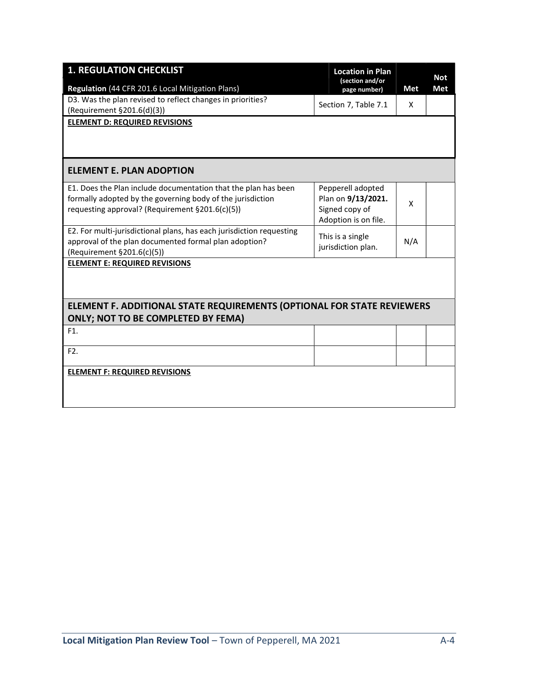| <b>1. REGULATION CHECKLIST</b>                                                                                                                              | <b>Location in Plan</b><br>(section and/or |     | <b>Not</b> |
|-------------------------------------------------------------------------------------------------------------------------------------------------------------|--------------------------------------------|-----|------------|
| Regulation (44 CFR 201.6 Local Mitigation Plans)                                                                                                            | page number)                               | Met | Met        |
| D3. Was the plan revised to reflect changes in priorities?                                                                                                  | Section 7, Table 7.1                       | X   |            |
| (Requirement §201.6(d)(3))                                                                                                                                  |                                            |     |            |
| <b>ELEMENT D: REQUIRED REVISIONS</b>                                                                                                                        |                                            |     |            |
| <b>ELEMENT E. PLAN ADOPTION</b>                                                                                                                             |                                            |     |            |
| E1. Does the Plan include documentation that the plan has been<br>formally adopted by the governing body of the jurisdiction                                | Pepperell adopted<br>Plan on 9/13/2021.    | X   |            |
| requesting approval? (Requirement §201.6(c)(5))                                                                                                             | Signed copy of<br>Adoption is on file.     |     |            |
| E2. For multi-jurisdictional plans, has each jurisdiction requesting<br>approval of the plan documented formal plan adoption?                               | This is a single                           | N/A |            |
| (Requirement §201.6(c)(5))                                                                                                                                  | jurisdiction plan.                         |     |            |
| <b>ELEMENT E: REQUIRED REVISIONS</b><br>ELEMENT F. ADDITIONAL STATE REQUIREMENTS (OPTIONAL FOR STATE REVIEWERS<br><b>ONLY; NOT TO BE COMPLETED BY FEMA)</b> |                                            |     |            |
| F1.                                                                                                                                                         |                                            |     |            |
| F2.                                                                                                                                                         |                                            |     |            |
| <b>ELEMENT F: REQUIRED REVISIONS</b>                                                                                                                        |                                            |     |            |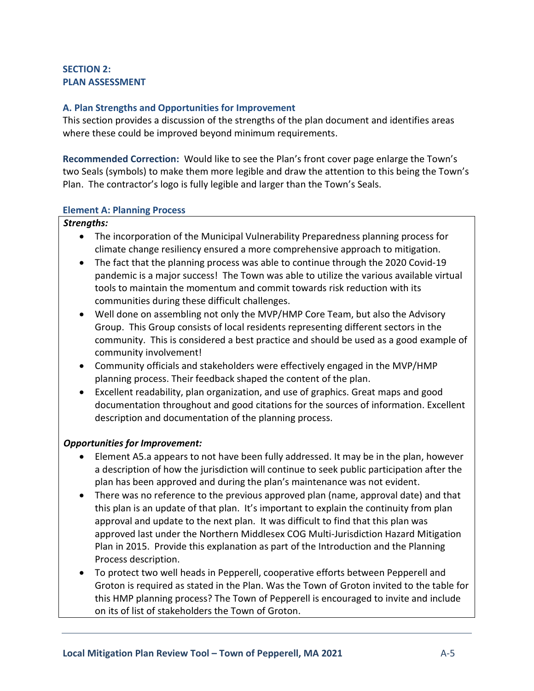# SECTION 2: PLAN ASSESSMENT

# A. Plan Strengths and Opportunities for Improvement

This section provides a discussion of the strengths of the plan document and identifies areas where these could be improved beyond minimum requirements.

Recommended Correction: Would like to see the Plan's front cover page enlarge the Town's two Seals (symbols) to make them more legible and draw the attention to this being the Town's Plan. The contractor's logo is fully legible and larger than the Town's Seals.

# Element A: Planning Process

# Strengths:

- The incorporation of the Municipal Vulnerability Preparedness planning process for climate change resiliency ensured a more comprehensive approach to mitigation.
- The fact that the planning process was able to continue through the 2020 Covid-19 pandemic is a major success! The Town was able to utilize the various available virtual tools to maintain the momentum and commit towards risk reduction with its communities during these difficult challenges.
- Well done on assembling not only the MVP/HMP Core Team, but also the Advisory Group. This Group consists of local residents representing different sectors in the community. This is considered a best practice and should be used as a good example of community involvement!
- Community officials and stakeholders were effectively engaged in the MVP/HMP planning process. Their feedback shaped the content of the plan.
- Excellent readability, plan organization, and use of graphics. Great maps and good documentation throughout and good citations for the sources of information. Excellent description and documentation of the planning process.

# Opportunities for Improvement:

- Element A5.a appears to not have been fully addressed. It may be in the plan, however a description of how the jurisdiction will continue to seek public participation after the plan has been approved and during the plan's maintenance was not evident.
- There was no reference to the previous approved plan (name, approval date) and that this plan is an update of that plan. It's important to explain the continuity from plan approval and update to the next plan. It was difficult to find that this plan was approved last under the Northern Middlesex COG Multi-Jurisdiction Hazard Mitigation Plan in 2015. Provide this explanation as part of the Introduction and the Planning Process description.
- To protect two well heads in Pepperell, cooperative efforts between Pepperell and Groton is required as stated in the Plan. Was the Town of Groton invited to the table for this HMP planning process? The Town of Pepperell is encouraged to invite and include on its of list of stakeholders the Town of Groton.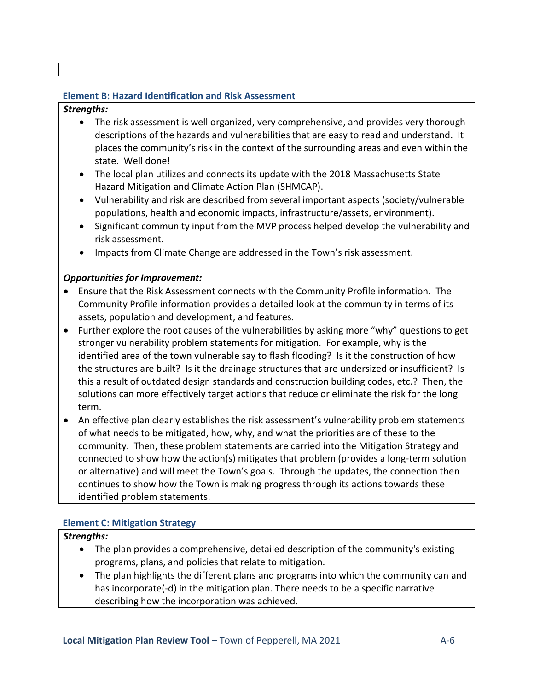# Element B: Hazard Identification and Risk Assessment

# Strengths:

- The risk assessment is well organized, very comprehensive, and provides very thorough descriptions of the hazards and vulnerabilities that are easy to read and understand. It places the community's risk in the context of the surrounding areas and even within the state. Well done!
- The local plan utilizes and connects its update with the 2018 Massachusetts State Hazard Mitigation and Climate Action Plan (SHMCAP).
- Vulnerability and risk are described from several important aspects (society/vulnerable populations, health and economic impacts, infrastructure/assets, environment).
- Significant community input from the MVP process helped develop the vulnerability and risk assessment.
- Impacts from Climate Change are addressed in the Town's risk assessment.

# Opportunities for Improvement:

- Ensure that the Risk Assessment connects with the Community Profile information. The Community Profile information provides a detailed look at the community in terms of its assets, population and development, and features.
- Further explore the root causes of the vulnerabilities by asking more "why" questions to get stronger vulnerability problem statements for mitigation. For example, why is the identified area of the town vulnerable say to flash flooding? Is it the construction of how the structures are built? Is it the drainage structures that are undersized or insufficient? Is this a result of outdated design standards and construction building codes, etc.? Then, the solutions can more effectively target actions that reduce or eliminate the risk for the long term.
- An effective plan clearly establishes the risk assessment's vulnerability problem statements of what needs to be mitigated, how, why, and what the priorities are of these to the community. Then, these problem statements are carried into the Mitigation Strategy and connected to show how the action(s) mitigates that problem (provides a long-term solution or alternative) and will meet the Town's goals. Through the updates, the connection then continues to show how the Town is making progress through its actions towards these identified problem statements.

# Element C: Mitigation Strategy

# Strengths:

- The plan provides a comprehensive, detailed description of the community's existing programs, plans, and policies that relate to mitigation.
- The plan highlights the different plans and programs into which the community can and has incorporate(-d) in the mitigation plan. There needs to be a specific narrative describing how the incorporation was achieved.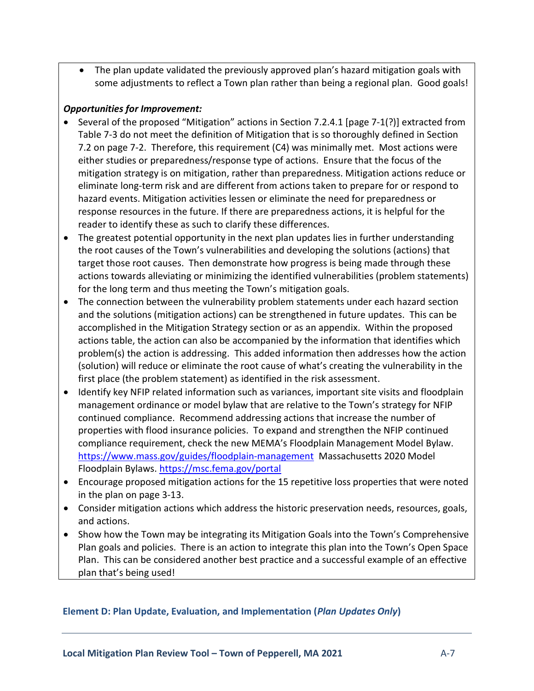The plan update validated the previously approved plan's hazard mitigation goals with some adjustments to reflect a Town plan rather than being a regional plan. Good goals!

# Opportunities for Improvement:

- Several of the proposed "Mitigation" actions in Section 7.2.4.1 [page 7-1(?)] extracted from Table 7-3 do not meet the definition of Mitigation that is so thoroughly defined in Section 7.2 on page 7-2. Therefore, this requirement (C4) was minimally met. Most actions were either studies or preparedness/response type of actions. Ensure that the focus of the mitigation strategy is on mitigation, rather than preparedness. Mitigation actions reduce or eliminate long-term risk and are different from actions taken to prepare for or respond to hazard events. Mitigation activities lessen or eliminate the need for preparedness or response resources in the future. If there are preparedness actions, it is helpful for the reader to identify these as such to clarify these differences.
- The greatest potential opportunity in the next plan updates lies in further understanding the root causes of the Town's vulnerabilities and developing the solutions (actions) that target those root causes. Then demonstrate how progress is being made through these actions towards alleviating or minimizing the identified vulnerabilities (problem statements) for the long term and thus meeting the Town's mitigation goals.
- The connection between the vulnerability problem statements under each hazard section and the solutions (mitigation actions) can be strengthened in future updates. This can be accomplished in the Mitigation Strategy section or as an appendix. Within the proposed actions table, the action can also be accompanied by the information that identifies which problem(s) the action is addressing. This added information then addresses how the action (solution) will reduce or eliminate the root cause of what's creating the vulnerability in the first place (the problem statement) as identified in the risk assessment.
- Identify key NFIP related information such as variances, important site visits and floodplain management ordinance or model bylaw that are relative to the Town's strategy for NFIP continued compliance. Recommend addressing actions that increase the number of properties with flood insurance policies. To expand and strengthen the NFIP continued compliance requirement, check the new MEMA's Floodplain Management Model Bylaw. https://www.mass.gov/guides/floodplain-management Massachusetts 2020 Model Floodplain Bylaws. https://msc.fema.gov/portal
- Encourage proposed mitigation actions for the 15 repetitive loss properties that were noted in the plan on page 3-13.
- Consider mitigation actions which address the historic preservation needs, resources, goals, and actions.
- Show how the Town may be integrating its Mitigation Goals into the Town's Comprehensive Plan goals and policies. There is an action to integrate this plan into the Town's Open Space Plan. This can be considered another best practice and a successful example of an effective plan that's being used!

#### Element D: Plan Update, Evaluation, and Implementation (Plan Updates Only)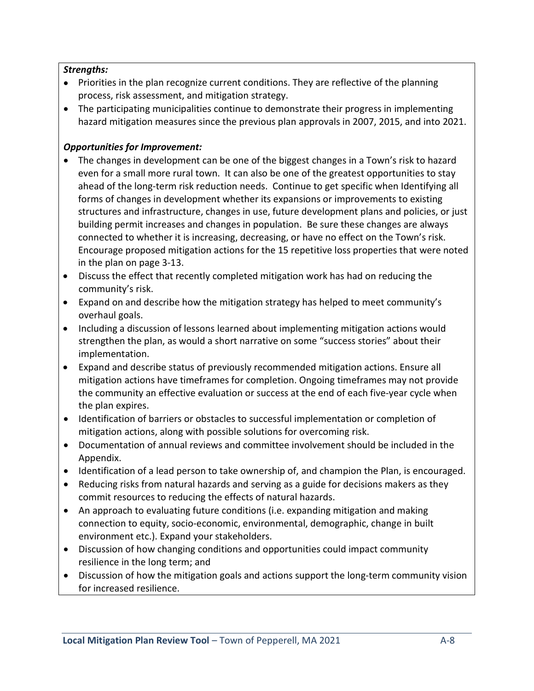# Strengths:

- Priorities in the plan recognize current conditions. They are reflective of the planning process, risk assessment, and mitigation strategy.
- The participating municipalities continue to demonstrate their progress in implementing hazard mitigation measures since the previous plan approvals in 2007, 2015, and into 2021.

# Opportunities for Improvement:

- The changes in development can be one of the biggest changes in a Town's risk to hazard even for a small more rural town. It can also be one of the greatest opportunities to stay ahead of the long-term risk reduction needs. Continue to get specific when Identifying all forms of changes in development whether its expansions or improvements to existing structures and infrastructure, changes in use, future development plans and policies, or just building permit increases and changes in population. Be sure these changes are always connected to whether it is increasing, decreasing, or have no effect on the Town's risk. Encourage proposed mitigation actions for the 15 repetitive loss properties that were noted in the plan on page 3-13.
- Discuss the effect that recently completed mitigation work has had on reducing the community's risk.
- Expand on and describe how the mitigation strategy has helped to meet community's overhaul goals.
- Including a discussion of lessons learned about implementing mitigation actions would strengthen the plan, as would a short narrative on some "success stories" about their implementation.
- Expand and describe status of previously recommended mitigation actions. Ensure all mitigation actions have timeframes for completion. Ongoing timeframes may not provide the community an effective evaluation or success at the end of each five-year cycle when the plan expires.
- Identification of barriers or obstacles to successful implementation or completion of mitigation actions, along with possible solutions for overcoming risk.
- Documentation of annual reviews and committee involvement should be included in the Appendix.
- Identification of a lead person to take ownership of, and champion the Plan, is encouraged.
- Reducing risks from natural hazards and serving as a guide for decisions makers as they commit resources to reducing the effects of natural hazards.
- An approach to evaluating future conditions (i.e. expanding mitigation and making connection to equity, socio-economic, environmental, demographic, change in built environment etc.). Expand your stakeholders.
- Discussion of how changing conditions and opportunities could impact community resilience in the long term; and
- Discussion of how the mitigation goals and actions support the long-term community vision for increased resilience.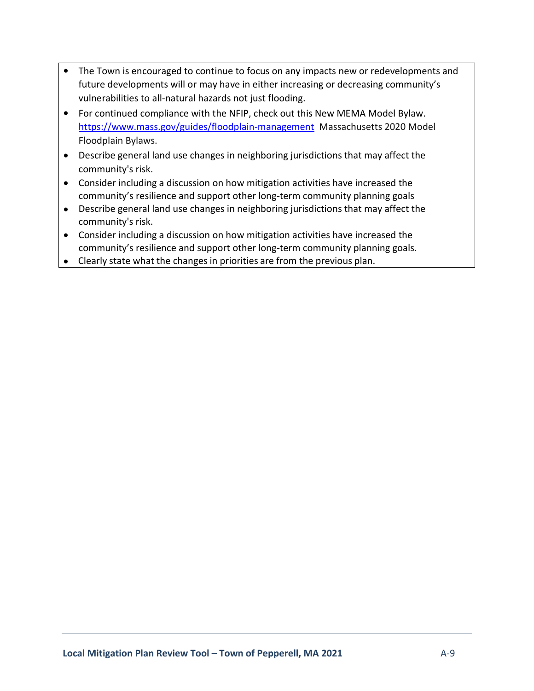- The Town is encouraged to continue to focus on any impacts new or redevelopments and future developments will or may have in either increasing or decreasing community's vulnerabilities to all-natural hazards not just flooding.
- For continued compliance with the NFIP, check out this New MEMA Model Bylaw. https://www.mass.gov/guides/floodplain-management Massachusetts 2020 Model Floodplain Bylaws.
- Describe general land use changes in neighboring jurisdictions that may affect the community's risk.
- Consider including a discussion on how mitigation activities have increased the community's resilience and support other long-term community planning goals
- Describe general land use changes in neighboring jurisdictions that may affect the community's risk.
- Consider including a discussion on how mitigation activities have increased the community's resilience and support other long-term community planning goals.
- Clearly state what the changes in priorities are from the previous plan.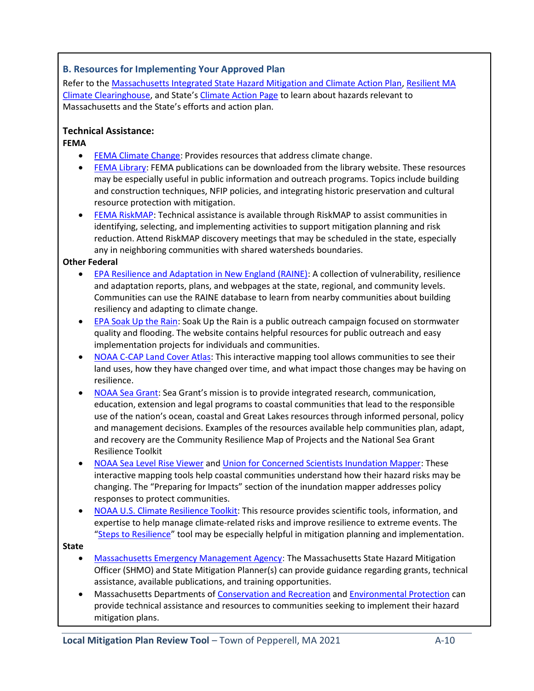# B. Resources for Implementing Your Approved Plan

Refer to the Massachusetts Integrated State Hazard Mitigation and Climate Action Plan, Resilient MA Climate Clearinghouse, and State's Climate Action Page to learn about hazards relevant to Massachusetts and the State's efforts and action plan.

# Technical Assistance:

#### FEMA

- FEMA Climate Change: Provides resources that address climate change.
- FEMA Library: FEMA publications can be downloaded from the library website. These resources may be especially useful in public information and outreach programs. Topics include building and construction techniques, NFIP policies, and integrating historic preservation and cultural resource protection with mitigation.
- FEMA RiskMAP: Technical assistance is available through RiskMAP to assist communities in identifying, selecting, and implementing activities to support mitigation planning and risk reduction. Attend RiskMAP discovery meetings that may be scheduled in the state, especially any in neighboring communities with shared watersheds boundaries.

#### Other Federal

- EPA Resilience and Adaptation in New England (RAINE): A collection of vulnerability, resilience and adaptation reports, plans, and webpages at the state, regional, and community levels. Communities can use the RAINE database to learn from nearby communities about building resiliency and adapting to climate change.
- **EPA Soak Up the Rain: Soak Up the Rain is a public outreach campaign focused on stormwater** quality and flooding. The website contains helpful resources for public outreach and easy implementation projects for individuals and communities.
- NOAA C-CAP Land Cover Atlas: This interactive mapping tool allows communities to see their land uses, how they have changed over time, and what impact those changes may be having on resilience.
- NOAA Sea Grant: Sea Grant's mission is to provide integrated research, communication, education, extension and legal programs to coastal communities that lead to the responsible use of the nation's ocean, coastal and Great Lakes resources through informed personal, policy and management decisions. Examples of the resources available help communities plan, adapt, and recovery are the Community Resilience Map of Projects and the National Sea Grant Resilience Toolkit
- NOAA Sea Level Rise Viewer and Union for Concerned Scientists Inundation Mapper: These interactive mapping tools help coastal communities understand how their hazard risks may be changing. The "Preparing for Impacts" section of the inundation mapper addresses policy responses to protect communities.
- NOAA U.S. Climate Resilience Toolkit: This resource provides scientific tools, information, and expertise to help manage climate-related risks and improve resilience to extreme events. The "Steps to Resilience" tool may be especially helpful in mitigation planning and implementation.

#### **State**

- Massachusetts Emergency Management Agency: The Massachusetts State Hazard Mitigation Officer (SHMO) and State Mitigation Planner(s) can provide guidance regarding grants, technical assistance, available publications, and training opportunities.
- Massachusetts Departments of Conservation and Recreation and Environmental Protection can provide technical assistance and resources to communities seeking to implement their hazard mitigation plans.